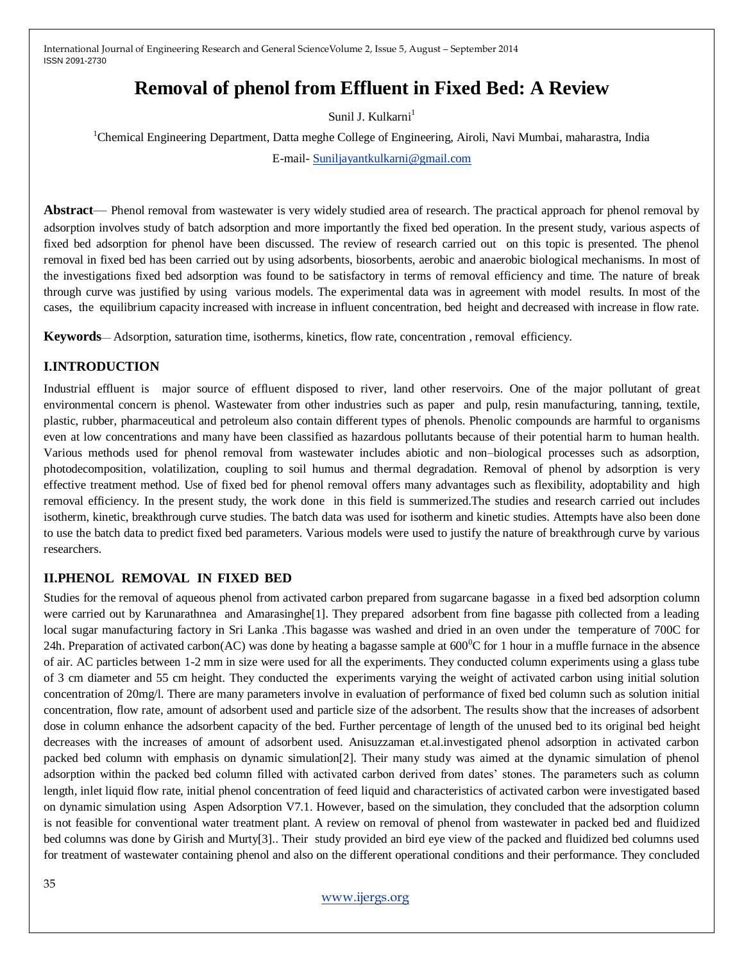# **Removal of phenol from Effluent in Fixed Bed: A Review**

Sunil J. Kulkarni<sup>1</sup>

<sup>1</sup>Chemical Engineering Department, Datta meghe College of Engineering, Airoli, Navi Mumbai, maharastra, India

E-mail- [Suniljayantkulkarni@gmail.com](mailto:Suniljayantkulkarni@gmail.com)

**Abstract**— Phenol removal from wastewater is very widely studied area of research. The practical approach for phenol removal by adsorption involves study of batch adsorption and more importantly the fixed bed operation. In the present study, various aspects of fixed bed adsorption for phenol have been discussed. The review of research carried out on this topic is presented. The phenol removal in fixed bed has been carried out by using adsorbents, biosorbents, aerobic and anaerobic biological mechanisms. In most of the investigations fixed bed adsorption was found to be satisfactory in terms of removal efficiency and time. The nature of break through curve was justified by using various models. The experimental data was in agreement with model results. In most of the cases, the equilibrium capacity increased with increase in influent concentration, bed height and decreased with increase in flow rate.

**Keywords**— Adsorption, saturation time, isotherms, kinetics, flow rate, concentration , removal efficiency.

## **I.INTRODUCTION**

Industrial effluent is major source of effluent disposed to river, land other reservoirs. One of the major pollutant of great environmental concern is phenol. Wastewater from other industries such as paper and pulp, resin manufacturing, tanning, textile, plastic, rubber, pharmaceutical and petroleum also contain different types of phenols. Phenolic compounds are harmful to organisms even at low concentrations and many have been classified as hazardous pollutants because of their potential harm to human health. Various methods used for phenol removal from wastewater includes abiotic and non–biological processes such as adsorption, photodecomposition, volatilization, coupling to soil humus and thermal degradation. Removal of phenol by adsorption is very effective treatment method. Use of fixed bed for phenol removal offers many advantages such as flexibility, adoptability and high removal efficiency. In the present study, the work done in this field is summerized.The studies and research carried out includes isotherm, kinetic, breakthrough curve studies. The batch data was used for isotherm and kinetic studies. Attempts have also been done to use the batch data to predict fixed bed parameters. Various models were used to justify the nature of breakthrough curve by various researchers.

## **II.PHENOL REMOVAL IN FIXED BED**

Studies for the removal of aqueous phenol from activated carbon prepared from sugarcane bagasse in a fixed bed adsorption column were carried out by Karunarathnea and Amarasinghe<sup>[1]</sup>. They prepared adsorbent from fine bagasse pith collected from a leading local sugar manufacturing factory in Sri Lanka .This bagasse was washed and dried in an oven under the temperature of 700C for 24h. Preparation of activated carbon(AC) was done by heating a bagasse sample at  $600^{\circ}$ C for 1 hour in a muffle furnace in the absence of air. AC particles between 1-2 mm in size were used for all the experiments. They conducted column experiments using a glass tube of 3 cm diameter and 55 cm height. They conducted the experiments varying the weight of activated carbon using initial solution concentration of 20mg/l. There are many parameters involve in evaluation of performance of fixed bed column such as solution initial concentration, flow rate, amount of adsorbent used and particle size of the adsorbent. The results show that the increases of adsorbent dose in column enhance the adsorbent capacity of the bed. Further percentage of length of the unused bed to its original bed height decreases with the increases of amount of adsorbent used. Anisuzzaman et.al.investigated phenol adsorption in activated carbon packed bed column with emphasis on dynamic simulation[2]. Their many study was aimed at the dynamic simulation of phenol adsorption within the packed bed column filled with activated carbon derived from dates' stones. The parameters such as column length, inlet liquid flow rate, initial phenol concentration of feed liquid and characteristics of activated carbon were investigated based on dynamic simulation using Aspen Adsorption V7.1. However, based on the simulation, they concluded that the adsorption column is not feasible for conventional water treatment plant. A review on removal of phenol from wastewater in packed bed and fluidized bed columns was done by Girish and Murty[3].. Their study provided an bird eye view of the packed and fluidized bed columns used for treatment of wastewater containing phenol and also on the different operational conditions and their performance. They concluded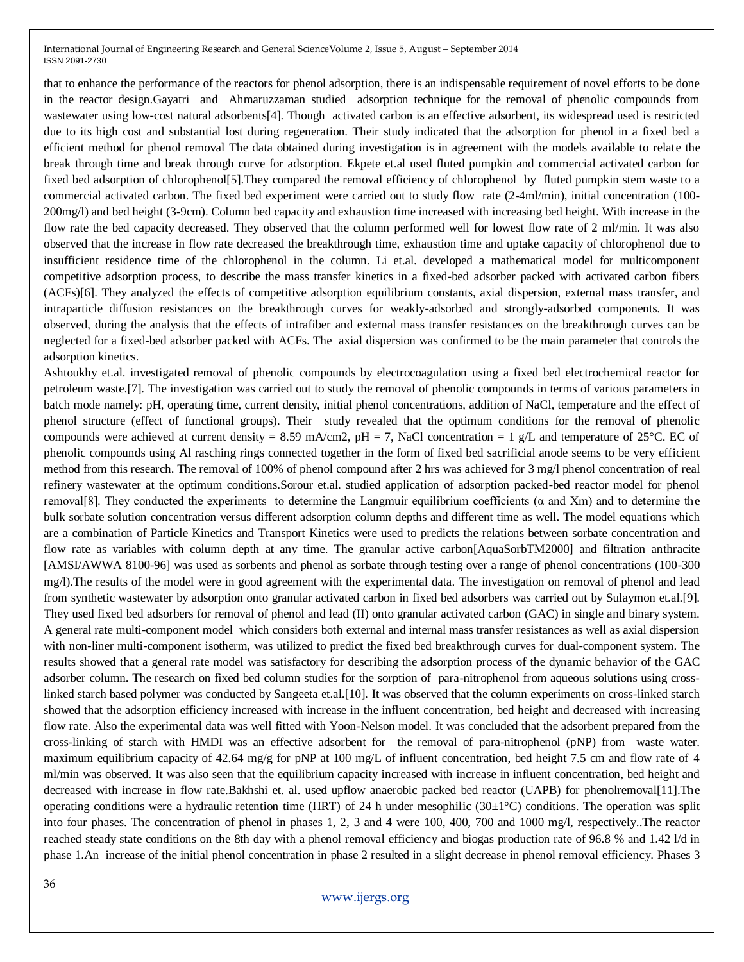that to enhance the performance of the reactors for phenol adsorption, there is an indispensable requirement of novel efforts to be done in the reactor design.Gayatri and Ahmaruzzaman studied adsorption technique for the removal of phenolic compounds from wastewater using low-cost natural adsorbents[4]. Though activated carbon is an effective adsorbent, its widespread used is restricted due to its high cost and substantial lost during regeneration. Their study indicated that the adsorption for phenol in a fixed bed a efficient method for phenol removal The data obtained during investigation is in agreement with the models available to relate the break through time and break through curve for adsorption. Ekpete et.al used fluted pumpkin and commercial activated carbon for fixed bed adsorption of chlorophenol[5].They compared the removal efficiency of chlorophenol by fluted pumpkin stem waste to a commercial activated carbon. The fixed bed experiment were carried out to study flow rate (2-4ml/min), initial concentration (100- 200mg/l) and bed height (3-9cm). Column bed capacity and exhaustion time increased with increasing bed height. With increase in the flow rate the bed capacity decreased. They observed that the column performed well for lowest flow rate of 2 ml/min. It was also observed that the increase in flow rate decreased the breakthrough time, exhaustion time and uptake capacity of chlorophenol due to insufficient residence time of the chlorophenol in the column. Li et.al. developed a mathematical model for multicomponent competitive adsorption process, to describe the mass transfer kinetics in a fixed-bed adsorber packed with activated carbon fibers (ACFs)[6]. They analyzed the effects of competitive adsorption equilibrium constants, axial dispersion, external mass transfer, and intraparticle diffusion resistances on the breakthrough curves for weakly-adsorbed and strongly-adsorbed components. It was observed, during the analysis that the effects of intrafiber and external mass transfer resistances on the breakthrough curves can be neglected for a fixed-bed adsorber packed with ACFs. The axial dispersion was confirmed to be the main parameter that controls the adsorption kinetics.

Ashtoukhy et.al. investigated removal of phenolic compounds by electrocoagulation using a fixed bed electrochemical reactor for petroleum waste.[7]. The investigation was carried out to study the removal of phenolic compounds in terms of various parameters in batch mode namely: pH, operating time, current density, initial phenol concentrations, addition of NaCl, temperature and the effect of phenol structure (effect of functional groups). Their study revealed that the optimum conditions for the removal of phenolic compounds were achieved at current density = 8.59 mA/cm2, pH = 7, NaCl concentration = 1 g/L and temperature of 25 $^{\circ}$ C. EC of phenolic compounds using Al rasching rings connected together in the form of fixed bed sacrificial anode seems to be very efficient method from this research. The removal of 100% of phenol compound after 2 hrs was achieved for 3 mg/l phenol concentration of real refinery wastewater at the optimum conditions.Sorour et.al. studied application of adsorption packed-bed reactor model for phenol removal[8]. They conducted the experiments to determine the Langmuir equilibrium coefficients (α and Xm) and to determine the bulk sorbate solution concentration versus different adsorption column depths and different time as well. The model equations which are a combination of Particle Kinetics and Transport Kinetics were used to predicts the relations between sorbate concentration and flow rate as variables with column depth at any time. The granular active carbon[AquaSorbTM2000] and filtration anthracite [AMSI/AWWA 8100-96] was used as sorbents and phenol as sorbate through testing over a range of phenol concentrations (100-300 mg/l).The results of the model were in good agreement with the experimental data. The investigation on removal of phenol and lead from synthetic wastewater by adsorption onto granular activated carbon in fixed bed adsorbers was carried out by Sulaymon et.al.[9]. They used fixed bed adsorbers for removal of phenol and lead (II) onto granular activated carbon (GAC) in single and binary system. A general rate multi-component model which considers both external and internal mass transfer resistances as well as axial dispersion with non-liner multi-component isotherm, was utilized to predict the fixed bed breakthrough curves for dual-component system. The results showed that a general rate model was satisfactory for describing the adsorption process of the dynamic behavior of the GAC adsorber column. The research on fixed bed column studies for the sorption of para-nitrophenol from aqueous solutions using crosslinked starch based polymer was conducted by Sangeeta et.al.[10]. It was observed that the column experiments on cross-linked starch showed that the adsorption efficiency increased with increase in the influent concentration, bed height and decreased with increasing flow rate. Also the experimental data was well fitted with Yoon-Nelson model. It was concluded that the adsorbent prepared from the cross-linking of starch with HMDI was an effective adsorbent for the removal of para-nitrophenol (pNP) from waste water. maximum equilibrium capacity of 42.64 mg/g for pNP at 100 mg/L of influent concentration, bed height 7.5 cm and flow rate of 4 ml/min was observed. It was also seen that the equilibrium capacity increased with increase in influent concentration, bed height and decreased with increase in flow rate.Bakhshi et. al. used upflow anaerobic packed bed reactor (UAPB) for phenolremoval[11].The operating conditions were a hydraulic retention time (HRT) of 24 h under mesophilic  $(30\pm1^{\circ}C)$  conditions. The operation was split into four phases. The concentration of phenol in phases 1, 2, 3 and 4 were 100, 400, 700 and 1000 mg/l, respectively..The reactor reached steady state conditions on the 8th day with a phenol removal efficiency and biogas production rate of 96.8 % and 1.42 l/d in phase 1.An increase of the initial phenol concentration in phase 2 resulted in a slight decrease in phenol removal efficiency. Phases 3

#### [www.ijergs.org](http://www.ijergs.org/)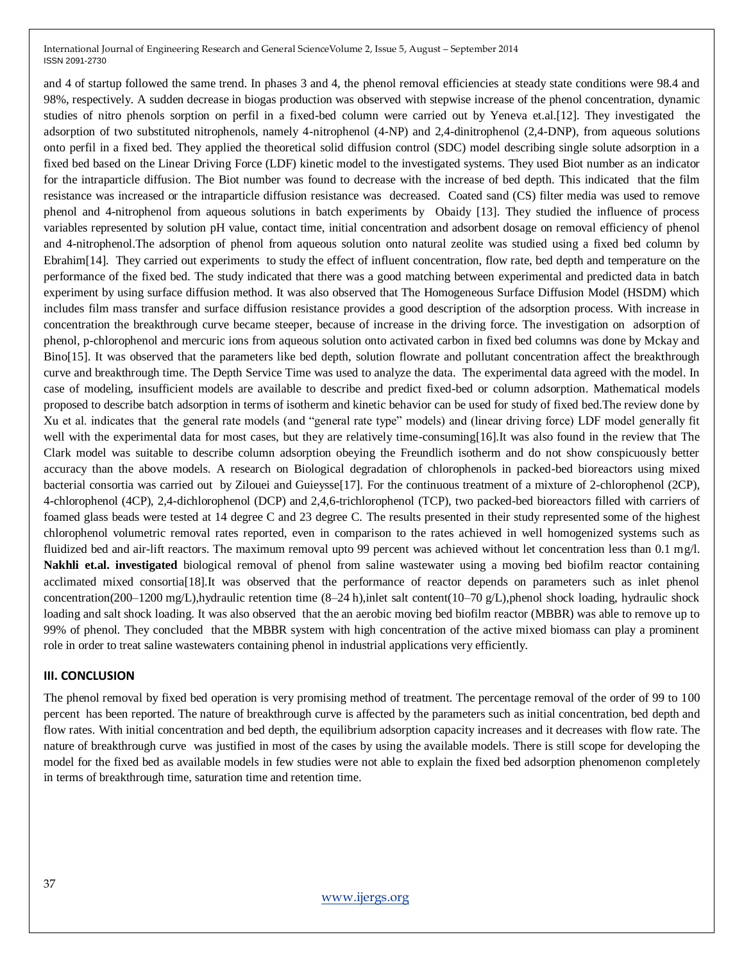and 4 of startup followed the same trend. In phases 3 and 4, the phenol removal efficiencies at steady state conditions were 98.4 and 98%, respectively. A sudden decrease in biogas production was observed with stepwise increase of the phenol concentration, dynamic studies of nitro phenols sorption on perfil in a fixed-bed column were carried out by Yeneva et.al.[12]. They investigated the adsorption of two substituted nitrophenols, namely 4-nitrophenol (4-NP) and 2,4-dinitrophenol (2,4-DNP), from aqueous solutions onto perfil in a fixed bed. They applied the theoretical solid diffusion control (SDC) model describing single solute adsorption in a fixed bed based on the Linear Driving Force (LDF) kinetic model to the investigated systems. They used Biot number as an indicator for the intraparticle diffusion. The Biot number was found to decrease with the increase of bed depth. This indicated that the film resistance was increased or the intraparticle diffusion resistance was decreased. Coated sand (CS) filter media was used to remove phenol and 4-nitrophenol from aqueous solutions in batch experiments by Obaidy [13]. They studied the influence of process variables represented by solution pH value, contact time, initial concentration and adsorbent dosage on removal efficiency of phenol and 4-nitrophenol.The adsorption of phenol from aqueous solution onto natural zeolite was studied using a fixed bed column by Ebrahim[14]. They carried out experiments to study the effect of influent concentration, flow rate, bed depth and temperature on the performance of the fixed bed. The study indicated that there was a good matching between experimental and predicted data in batch experiment by using surface diffusion method. It was also observed that The Homogeneous Surface Diffusion Model (HSDM) which includes film mass transfer and surface diffusion resistance provides a good description of the adsorption process. With increase in concentration the breakthrough curve became steeper, because of increase in the driving force. The investigation on adsorption of phenol, p-chlorophenol and mercuric ions from aqueous solution onto activated carbon in fixed bed columns was done by Mckay and Bino[15]. It was observed that the parameters like bed depth, solution flowrate and pollutant concentration affect the breakthrough curve and breakthrough time. The Depth Service Time was used to analyze the data. The experimental data agreed with the model. In case of modeling, insufficient models are available to describe and predict fixed-bed or column adsorption. Mathematical models proposed to describe batch adsorption in terms of isotherm and kinetic behavior can be used for study of fixed bed.The review done by Xu et al. indicates that the general rate models (and "general rate type" models) and (linear driving force) LDF model generally fit well with the experimental data for most cases, but they are relatively time-consuming[16].It was also found in the review that The Clark model was suitable to describe column adsorption obeying the Freundlich isotherm and do not show conspicuously better accuracy than the above models. A research on Biological degradation of chlorophenols in packed-bed bioreactors using mixed bacterial consortia was carried out by Zilouei and Guieysse[17]. For the continuous treatment of a mixture of 2-chlorophenol (2CP), 4-chlorophenol (4CP), 2,4-dichlorophenol (DCP) and 2,4,6-trichlorophenol (TCP), two packed-bed bioreactors filled with carriers of foamed glass beads were tested at 14 degree C and 23 degree C. The results presented in their study represented some of the highest chlorophenol volumetric removal rates reported, even in comparison to the rates achieved in well homogenized systems such as fluidized bed and air-lift reactors. The maximum removal upto 99 percent was achieved without let concentration less than 0.1 mg/l. **Nakhli et.al. investigated** biological removal of phenol from saline wastewater using a moving bed biofilm reactor containing acclimated mixed consortia[18].It was observed that the performance of reactor depends on parameters such as inlet phenol concentration(200–1200 mg/L),hydraulic retention time (8–24 h),inlet salt content(10–70 g/L),phenol shock loading, hydraulic shock loading and salt shock loading. It was also observed that the an aerobic moving bed biofilm reactor (MBBR) was able to remove up to 99% of phenol. They concluded that the MBBR system with high concentration of the active mixed biomass can play a prominent role in order to treat saline wastewaters containing phenol in industrial applications very efficiently.

#### **III. CONCLUSION**

The phenol removal by fixed bed operation is very promising method of treatment. The percentage removal of the order of 99 to 100 percent has been reported. The nature of breakthrough curve is affected by the parameters such as initial concentration, bed depth and flow rates. With initial concentration and bed depth, the equilibrium adsorption capacity increases and it decreases with flow rate. The nature of breakthrough curve was justified in most of the cases by using the available models. There is still scope for developing the model for the fixed bed as available models in few studies were not able to explain the fixed bed adsorption phenomenon completely in terms of breakthrough time, saturation time and retention time.